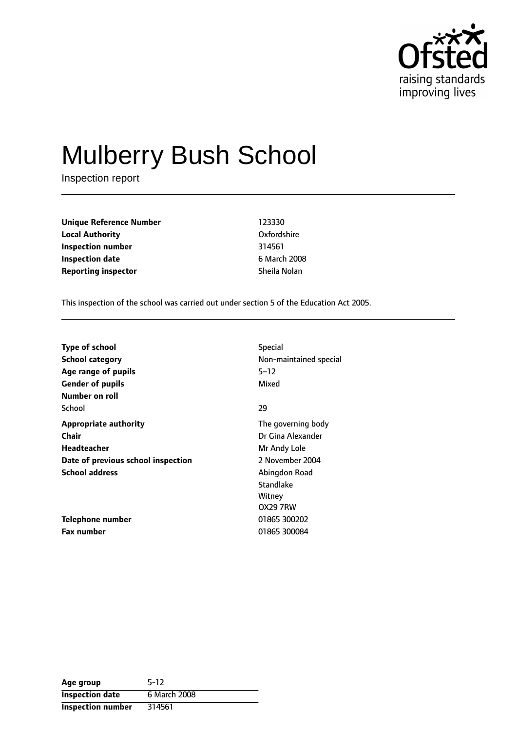

# Mulberry Bush School

Inspection report

**Unique Reference Number** 123330 **Local Authority** Oxfordshire **Inspection number** 314561 **Inspection date** 6 March 2008 **Reporting inspector** Sheila Nolan

This inspection of the school was carried out under section 5 of the Education Act 2005.

| <b>Type of school</b>              | <b>Special</b>         |
|------------------------------------|------------------------|
| <b>School category</b>             | Non-maintained special |
| Age range of pupils                | $5 - 12$               |
| <b>Gender of pupils</b>            | Mixed                  |
| Number on roll                     |                        |
| School                             | 29                     |
| <b>Appropriate authority</b>       | The governing body     |
| Chair                              | Dr Gina Alexander      |
| Headteacher                        | Mr Andy Lole           |
| Date of previous school inspection | 2 November 2004        |
| <b>School address</b>              | Abingdon Road          |
|                                    | Standlake              |
|                                    | Witney                 |
|                                    | <b>OX29 7RW</b>        |
| Telephone number                   | 01865 300202           |
| <b>Fax number</b>                  | 01865 300084           |

| Age group                | $5-12$       |
|--------------------------|--------------|
| <b>Inspection date</b>   | 6 March 2008 |
| <b>Inspection number</b> | 314561       |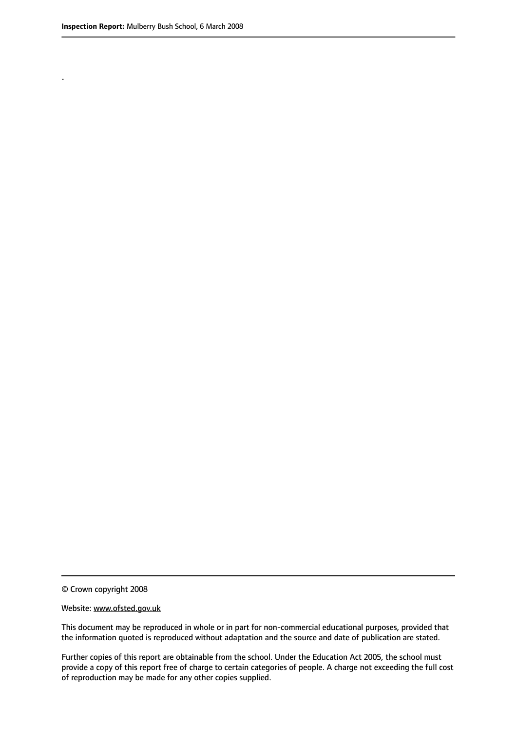.

© Crown copyright 2008

#### Website: www.ofsted.gov.uk

This document may be reproduced in whole or in part for non-commercial educational purposes, provided that the information quoted is reproduced without adaptation and the source and date of publication are stated.

Further copies of this report are obtainable from the school. Under the Education Act 2005, the school must provide a copy of this report free of charge to certain categories of people. A charge not exceeding the full cost of reproduction may be made for any other copies supplied.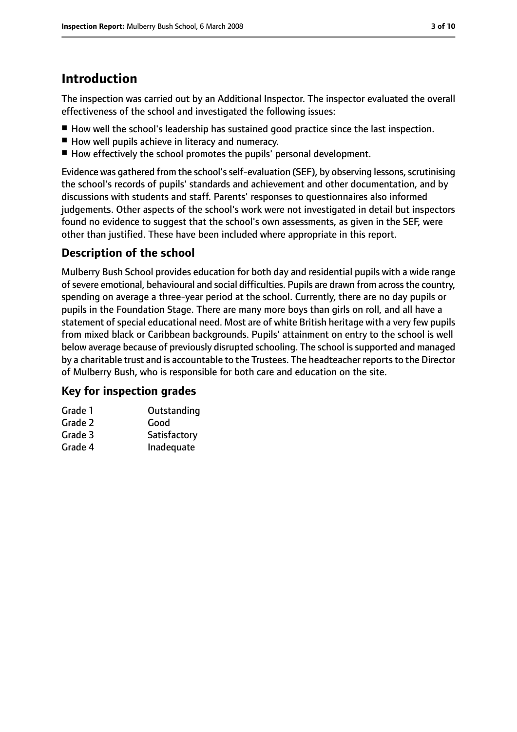# **Introduction**

The inspection was carried out by an Additional Inspector. The inspector evaluated the overall effectiveness of the school and investigated the following issues:

- How well the school's leadership has sustained good practice since the last inspection.
- How well pupils achieve in literacy and numeracy.
- How effectively the school promotes the pupils' personal development.

Evidence was gathered from the school's self-evaluation (SEF), by observing lessons, scrutinising the school's records of pupils' standards and achievement and other documentation, and by discussions with students and staff. Parents' responses to questionnaires also informed judgements. Other aspects of the school's work were not investigated in detail but inspectors found no evidence to suggest that the school's own assessments, as given in the SEF, were other than justified. These have been included where appropriate in this report.

## **Description of the school**

Mulberry Bush School provides education for both day and residential pupils with a wide range of severe emotional, behavioural and social difficulties. Pupils are drawn from across the country, spending on average a three-year period at the school. Currently, there are no day pupils or pupils in the Foundation Stage. There are many more boys than girls on roll, and all have a statement of special educational need. Most are of white British heritage with a very few pupils from mixed black or Caribbean backgrounds. Pupils' attainment on entry to the school is well below average because of previously disrupted schooling. The school is supported and managed by a charitable trust and is accountable to the Trustees. The headteacher reports to the Director of Mulberry Bush, who is responsible for both care and education on the site.

### **Key for inspection grades**

| Grade 1 | Outstanding  |
|---------|--------------|
| Grade 2 | Good         |
| Grade 3 | Satisfactory |
| Grade 4 | Inadequate   |
|         |              |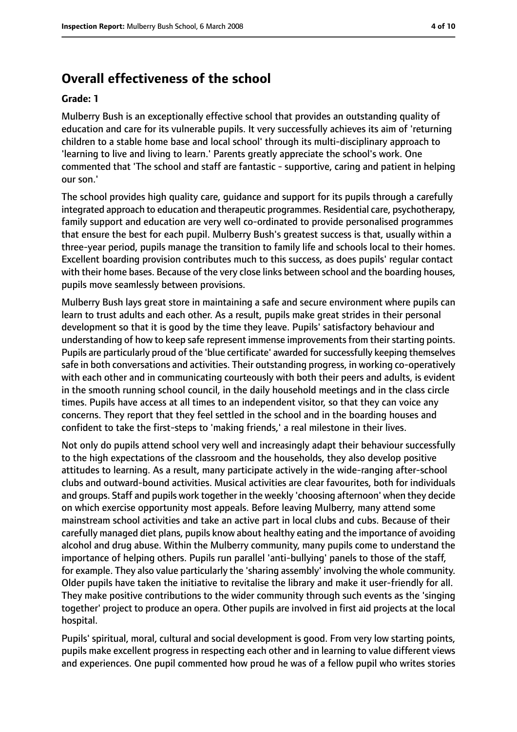# **Overall effectiveness of the school**

#### **Grade: 1**

Mulberry Bush is an exceptionally effective school that provides an outstanding quality of education and care for its vulnerable pupils. It very successfully achieves its aim of 'returning children to a stable home base and local school' through its multi-disciplinary approach to 'learning to live and living to learn.' Parents greatly appreciate the school's work. One commented that 'The school and staff are fantastic - supportive, caring and patient in helping our son.'

The school provides high quality care, guidance and support for its pupils through a carefully integrated approach to education and therapeutic programmes. Residential care, psychotherapy, family support and education are very well co-ordinated to provide personalised programmes that ensure the best for each pupil. Mulberry Bush's greatest success is that, usually within a three-year period, pupils manage the transition to family life and schools local to their homes. Excellent boarding provision contributes much to this success, as does pupils' regular contact with their home bases. Because of the very close links between school and the boarding houses, pupils move seamlessly between provisions.

Mulberry Bush lays great store in maintaining a safe and secure environment where pupils can learn to trust adults and each other. As a result, pupils make great strides in their personal development so that it is good by the time they leave. Pupils' satisfactory behaviour and understanding of how to keep safe represent immense improvements from their starting points. Pupils are particularly proud of the 'blue certificate' awarded for successfully keeping themselves safe in both conversations and activities. Their outstanding progress, in working co-operatively with each other and in communicating courteously with both their peers and adults, is evident in the smooth running school council, in the daily household meetings and in the class circle times. Pupils have access at all times to an independent visitor, so that they can voice any concerns. They report that they feel settled in the school and in the boarding houses and confident to take the first-steps to 'making friends,' a real milestone in their lives.

Not only do pupils attend school very well and increasingly adapt their behaviour successfully to the high expectations of the classroom and the households, they also develop positive attitudes to learning. As a result, many participate actively in the wide-ranging after-school clubs and outward-bound activities. Musical activities are clear favourites, both for individuals and groups. Staff and pupils work together in the weekly 'choosing afternoon' when they decide on which exercise opportunity most appeals. Before leaving Mulberry, many attend some mainstream school activities and take an active part in local clubs and cubs. Because of their carefully managed diet plans, pupils know about healthy eating and the importance of avoiding alcohol and drug abuse. Within the Mulberry community, many pupils come to understand the importance of helping others. Pupils run parallel 'anti-bullying' panels to those of the staff, for example. They also value particularly the 'sharing assembly' involving the whole community. Older pupils have taken the initiative to revitalise the library and make it user-friendly for all. They make positive contributions to the wider community through such events as the 'singing together' project to produce an opera. Other pupils are involved in first aid projects at the local hospital.

Pupils' spiritual, moral, cultural and social development is good. From very low starting points, pupils make excellent progress in respecting each other and in learning to value different views and experiences. One pupil commented how proud he was of a fellow pupil who writes stories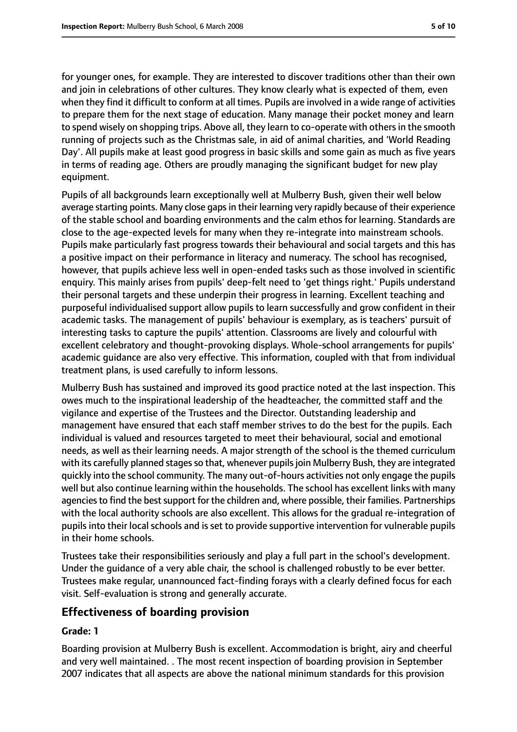for younger ones, for example. They are interested to discover traditions other than their own and join in celebrations of other cultures. They know clearly what is expected of them, even when they find it difficult to conform at all times. Pupils are involved in a wide range of activities to prepare them for the next stage of education. Many manage their pocket money and learn to spend wisely on shopping trips. Above all, they learn to co-operate with others in the smooth running of projects such as the Christmas sale, in aid of animal charities, and 'World Reading Day'. All pupils make at least good progress in basic skills and some gain as much as five years in terms of reading age. Others are proudly managing the significant budget for new play equipment.

Pupils of all backgrounds learn exceptionally well at Mulberry Bush, given their well below average starting points. Many close gaps in their learning very rapidly because of their experience of the stable school and boarding environments and the calm ethos for learning. Standards are close to the age-expected levels for many when they re-integrate into mainstream schools. Pupils make particularly fast progress towards their behavioural and social targets and this has a positive impact on their performance in literacy and numeracy. The school has recognised, however, that pupils achieve less well in open-ended tasks such as those involved in scientific enquiry. This mainly arises from pupils' deep-felt need to 'get things right.' Pupils understand their personal targets and these underpin their progress in learning. Excellent teaching and purposeful individualised support allow pupils to learn successfully and grow confident in their academic tasks. The management of pupils' behaviour is exemplary, as is teachers' pursuit of interesting tasks to capture the pupils' attention. Classrooms are lively and colourful with excellent celebratory and thought-provoking displays. Whole-school arrangements for pupils' academic guidance are also very effective. This information, coupled with that from individual treatment plans, is used carefully to inform lessons.

Mulberry Bush has sustained and improved its good practice noted at the last inspection. This owes much to the inspirational leadership of the headteacher, the committed staff and the vigilance and expertise of the Trustees and the Director. Outstanding leadership and management have ensured that each staff member strives to do the best for the pupils. Each individual is valued and resources targeted to meet their behavioural, social and emotional needs, as well as their learning needs. A major strength of the school is the themed curriculum with its carefully planned stages so that, whenever pupils join Mulberry Bush, they are integrated quickly into the school community. The many out-of-hours activities not only engage the pupils well but also continue learning within the households. The school has excellent links with many agencies to find the best support for the children and, where possible, their families. Partnerships with the local authority schools are also excellent. This allows for the gradual re-integration of pupils into their local schools and is set to provide supportive intervention for vulnerable pupils in their home schools.

Trustees take their responsibilities seriously and play a full part in the school's development. Under the guidance of a very able chair, the school is challenged robustly to be ever better. Trustees make regular, unannounced fact-finding forays with a clearly defined focus for each visit. Self-evaluation is strong and generally accurate.

#### **Effectiveness of boarding provision**

#### **Grade: 1**

Boarding provision at Mulberry Bush is excellent. Accommodation is bright, airy and cheerful and very well maintained. . The most recent inspection of boarding provision in September 2007 indicates that all aspects are above the national minimum standards for this provision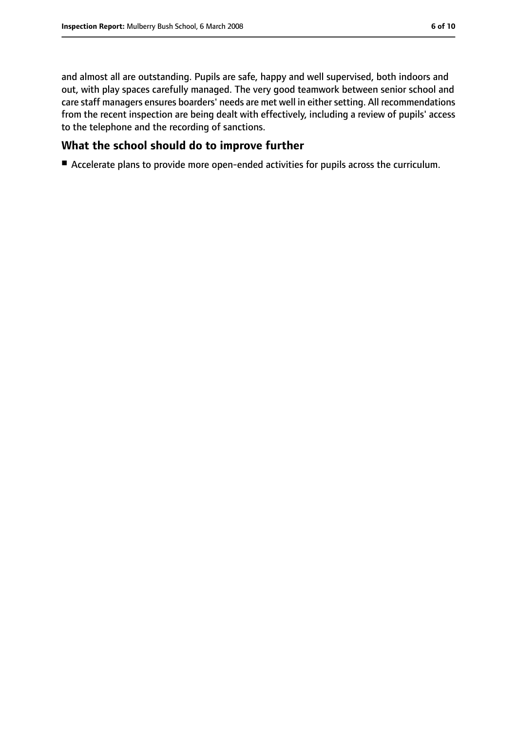and almost all are outstanding. Pupils are safe, happy and well supervised, both indoors and out, with play spaces carefully managed. The very good teamwork between senior school and care staff managers ensures boarders' needs are met well in either setting. All recommendations from the recent inspection are being dealt with effectively, including a review of pupils' access

## **What the school should do to improve further**

to the telephone and the recording of sanctions.

■ Accelerate plans to provide more open-ended activities for pupils across the curriculum.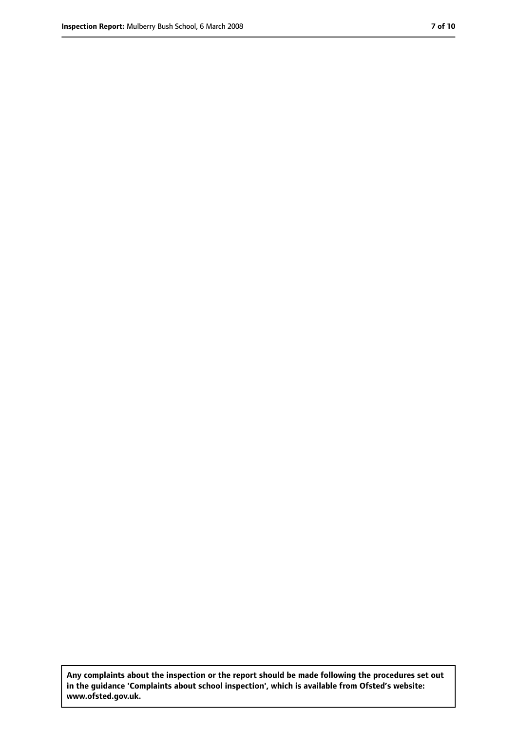**Any complaints about the inspection or the report should be made following the procedures set out in the guidance 'Complaints about school inspection', which is available from Ofsted's website: www.ofsted.gov.uk.**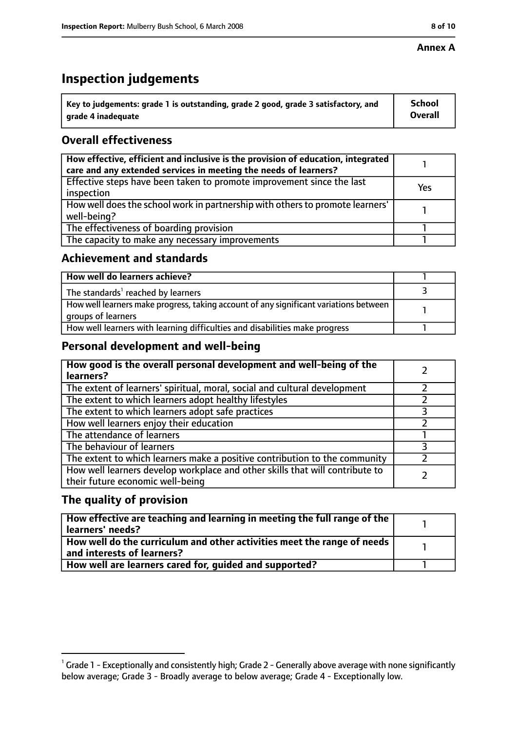#### **Annex A**

# **Inspection judgements**

| $^{\backprime}$ Key to judgements: grade 1 is outstanding, grade 2 good, grade 3 satisfactory, and | <b>School</b>  |
|----------------------------------------------------------------------------------------------------|----------------|
| arade 4 inadequate                                                                                 | <b>Overall</b> |

## **Overall effectiveness**

| How effective, efficient and inclusive is the provision of education, integrated<br>care and any extended services in meeting the needs of learners? |     |
|------------------------------------------------------------------------------------------------------------------------------------------------------|-----|
| Effective steps have been taken to promote improvement since the last<br>inspection                                                                  | Yes |
| How well does the school work in partnership with others to promote learners'<br>well-being?                                                         |     |
| The effectiveness of boarding provision                                                                                                              |     |
| The capacity to make any necessary improvements                                                                                                      |     |

#### **Achievement and standards**

| How well do learners achieve?                                                                               |  |
|-------------------------------------------------------------------------------------------------------------|--|
| $\mathsf I$ The standards <sup>1</sup> reached by learners                                                  |  |
| How well learners make progress, taking account of any significant variations between<br>groups of learners |  |
| How well learners with learning difficulties and disabilities make progress                                 |  |

#### **Personal development and well-being**

| How good is the overall personal development and well-being of the<br>learners?                                  |  |
|------------------------------------------------------------------------------------------------------------------|--|
| The extent of learners' spiritual, moral, social and cultural development                                        |  |
| The extent to which learners adopt healthy lifestyles                                                            |  |
| The extent to which learners adopt safe practices                                                                |  |
| How well learners enjoy their education                                                                          |  |
| The attendance of learners                                                                                       |  |
| The behaviour of learners                                                                                        |  |
| The extent to which learners make a positive contribution to the community                                       |  |
| How well learners develop workplace and other skills that will contribute to<br>their future economic well-being |  |

### **The quality of provision**

| How effective are teaching and learning in meeting the full range of the<br>learners' needs?          |  |
|-------------------------------------------------------------------------------------------------------|--|
| How well do the curriculum and other activities meet the range of needs<br>and interests of learners? |  |
| How well are learners cared for, quided and supported?                                                |  |

 $^1$  Grade 1 - Exceptionally and consistently high; Grade 2 - Generally above average with none significantly below average; Grade 3 - Broadly average to below average; Grade 4 - Exceptionally low.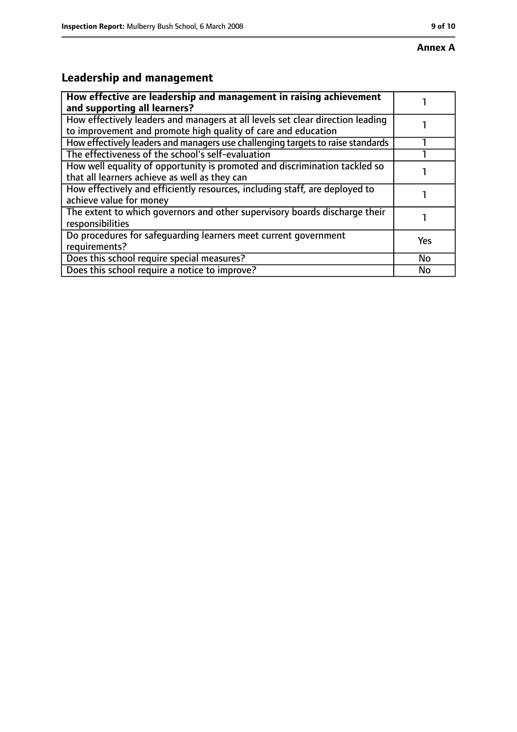# **Leadership and management**

| How effective are leadership and management in raising achievement<br>and supporting all learners?                                              |     |
|-------------------------------------------------------------------------------------------------------------------------------------------------|-----|
| How effectively leaders and managers at all levels set clear direction leading<br>to improvement and promote high quality of care and education |     |
| How effectively leaders and managers use challenging targets to raise standards                                                                 |     |
| The effectiveness of the school's self-evaluation                                                                                               |     |
| How well equality of opportunity is promoted and discrimination tackled so<br>that all learners achieve as well as they can                     |     |
| How effectively and efficiently resources, including staff, are deployed to<br>achieve value for money                                          |     |
| The extent to which governors and other supervisory boards discharge their<br>responsibilities                                                  |     |
| Do procedures for safequarding learners meet current government<br>requirements?                                                                | Yes |
| Does this school require special measures?                                                                                                      | No  |
| Does this school require a notice to improve?                                                                                                   | No  |